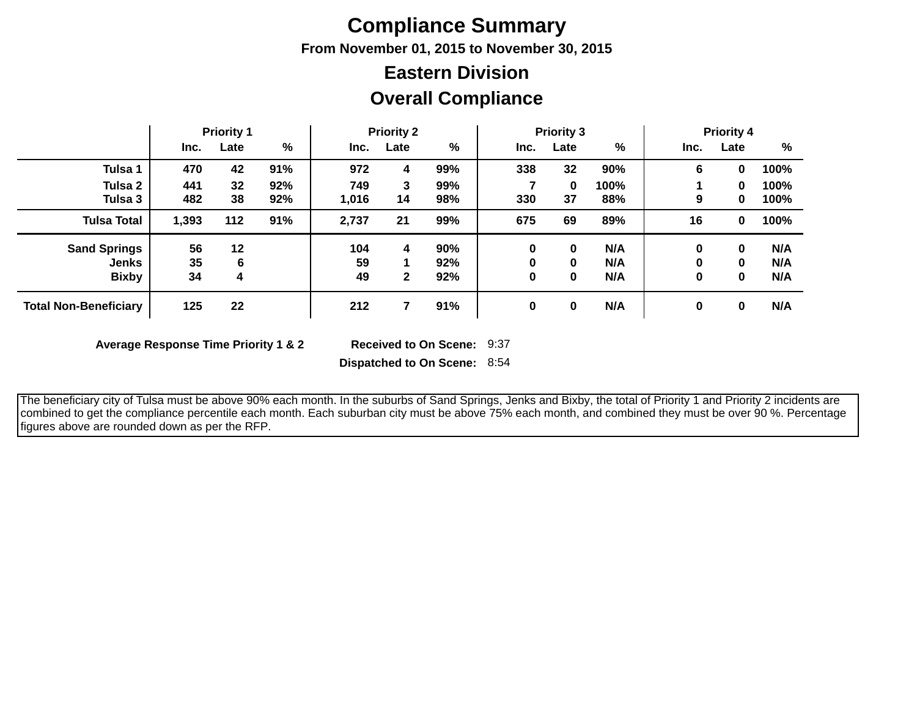## **Compliance Summary**

**From November 01, 2015 to November 30, 2015**

## **Overall Compliance Eastern Division**

|                                                     |                | <b>Priority 1</b> |            |                 | <b>Priority 2</b> |                   |      | <b>Priority 3</b> |                   |             | <b>Priority 4</b> |                   |
|-----------------------------------------------------|----------------|-------------------|------------|-----------------|-------------------|-------------------|------|-------------------|-------------------|-------------|-------------------|-------------------|
|                                                     | Inc.           | Late              | %          | Inc.            | Late              | %                 | Inc. | Late              | %                 | Inc.        | Late              | %                 |
| Tulsa 1                                             | 470            | 42                | 91%        | 972             | 4                 | 99%               | 338  | 32                | 90%               | 6           | 0                 | 100%              |
| Tulsa 2<br>Tulsa 3                                  | 441<br>482     | 32<br>38          | 92%<br>92% | 749<br>1,016    | 3<br>14           | 99%<br>98%        | 330  | 0<br>37           | 100%<br>88%       | 9           | 0<br>0            | 100%<br>100%      |
| <b>Tulsa Total</b>                                  | 1,393          | 112               | 91%        | 2,737           | 21                | 99%               | 675  | 69                | 89%               | 16          | 0                 | 100%              |
| <b>Sand Springs</b><br><b>Jenks</b><br><b>Bixby</b> | 56<br>35<br>34 | 12<br>6<br>4      |            | 104<br>59<br>49 | 4<br>$\mathbf{2}$ | 90%<br>92%<br>92% | 0    | 0<br>0<br>0       | N/A<br>N/A<br>N/A | 0<br>0<br>0 | 0<br>0<br>0       | N/A<br>N/A<br>N/A |
| <b>Total Non-Beneficiary</b>                        | 125            | 22                |            | 212             |                   | 91%               | 0    | 0                 | N/A               | 0           | 0                 | N/A               |

**Average Response Time Priority 1 & 2** 

Received to On Scene: 9:37

**Dispatched to On Scene:** 8:54

 The beneficiary city of Tulsa must be above 90% each month. In the suburbs of Sand Springs, Jenks and Bixby, the total of Priority 1 and Priority 2 incidents are combined to get the compliance percentile each month. Each suburban city must be above 75% each month, and combined they must be over 90 %. Percentage figures above are rounded down as per the RFP.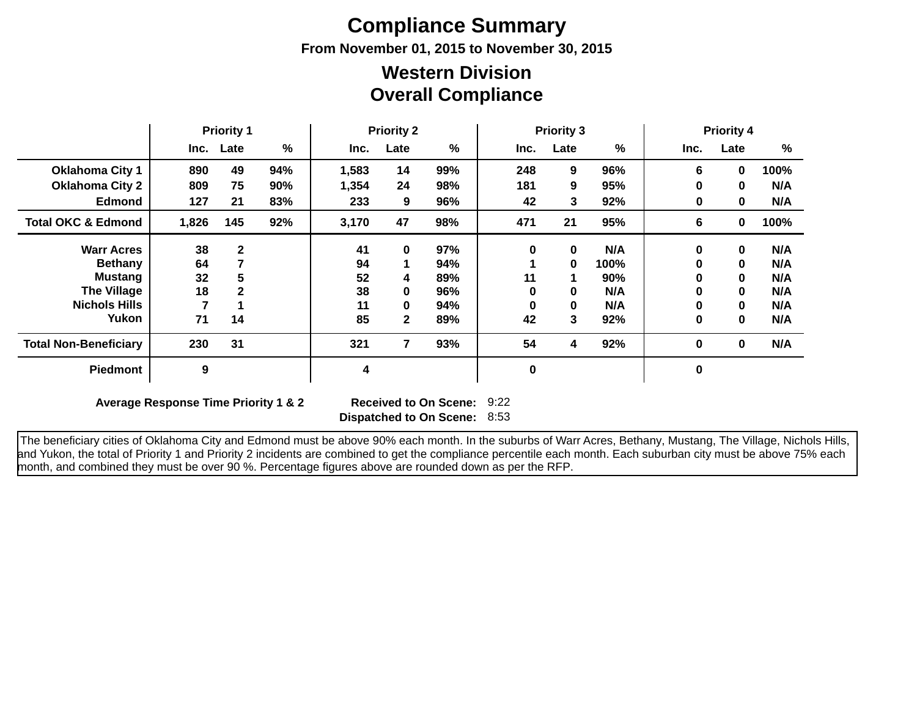# **Compliance Summary**

**From November 01, 2015 to November 30, 2015**

### **Overall Compliance Western Division**

|                               | <b>Priority 1</b> |              | <b>Priority 2</b> |                         | <b>Priority 3</b> |     |             |             | <b>Priority 4</b><br>%<br>Late<br>Inc.<br>6<br>100%<br>0<br>N/A<br>0<br>0<br>N/A<br>0<br>0<br>100%<br>6<br>0 |   |          |     |
|-------------------------------|-------------------|--------------|-------------------|-------------------------|-------------------|-----|-------------|-------------|--------------------------------------------------------------------------------------------------------------|---|----------|-----|
|                               |                   | Inc. Late    | %                 | Inc.                    | Late              | %   | Inc.        | Late        | $\%$                                                                                                         |   |          |     |
| <b>Oklahoma City 1</b>        | 890               | 49           | 94%               | 1,583                   | 14                | 99% | 248         | 9           | 96%                                                                                                          |   |          |     |
| <b>Oklahoma City 2</b>        | 809               | 75           | 90%               | 1,354                   | 24                | 98% | 181         | 9           | 95%                                                                                                          |   |          |     |
| <b>Edmond</b>                 | 127               | 21           | 83%               | 233                     | 9                 | 96% | 42          | 3           | 92%                                                                                                          |   |          |     |
| <b>Total OKC &amp; Edmond</b> | 1,826             | 145          | 92%               | 3,170                   | 47                | 98% | 471         | 21          | 95%                                                                                                          |   |          |     |
| <b>Warr Acres</b>             | 38                | $\mathbf{2}$ |                   | 41                      | $\bf{0}$          | 97% | $\bf{0}$    | $\bf{0}$    | N/A                                                                                                          | 0 | 0        | N/A |
| <b>Bethany</b>                | 64                |              |                   | 94                      |                   | 94% |             | $\mathbf 0$ | 100%                                                                                                         | 0 | $\bf{0}$ | N/A |
| <b>Mustang</b>                | 32                |              |                   | 52                      | 4                 | 89% | 11          |             | 90%                                                                                                          | 0 | $\bf{0}$ | N/A |
| <b>The Village</b>            | 18                |              |                   | 38                      | 0                 | 96% | 0           | $\bf{0}$    | N/A                                                                                                          | 0 | $\bf{0}$ | N/A |
| <b>Nichols Hills</b>          |                   |              |                   | 11                      | 0                 | 94% | $\bf{0}$    | $\bf{0}$    | N/A                                                                                                          | 0 | 0        | N/A |
| Yukon                         | 71                | 14           |                   | 85                      | $\mathbf{2}$      | 89% | 42          | 3           | 92%                                                                                                          | 0 | 0        | N/A |
| <b>Total Non-Beneficiary</b>  | 230               | 31           |                   | 321                     | 7                 | 93% | 54          | 4           | 92%                                                                                                          | 0 | 0        | N/A |
| <b>Piedmont</b>               | 9                 |              |                   | $\overline{\mathbf{4}}$ |                   |     | $\mathbf 0$ |             |                                                                                                              | 0 |          |     |

**Average Response Time Priority 1 & 2** 

**Dispatched to On Scene:** 8:53 9:22

 The beneficiary cities of Oklahoma City and Edmond must be above 90% each month. In the suburbs of Warr Acres, Bethany, Mustang, The Village, Nichols Hills, and Yukon, the total of Priority 1 and Priority 2 incidents are combined to get the compliance percentile each month. Each suburban city must be above 75% each month, and combined they must be over 90 %. Percentage figures above are rounded down as per the RFP.